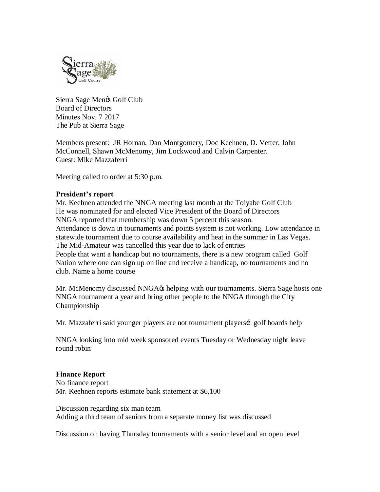

Sierra Sage Men $\alpha$  Golf Club Board of Directors Minutes Nov. 7 2017 The Pub at Sierra Sage

Members present: JR Hornan, Dan Montgomery, Doc Keehnen, D. Vetter, John McConnell, Shawn McMenomy, Jim Lockwood and Calvin Carpenter. Guest: Mike Mazzaferri

Meeting called to order at 5:30 p.m.

## **President's report**

Mr. Keehnen attended the NNGA meeting last month at the Toiyabe Golf Club He was nominated for and elected Vice President of the Board of Directors NNGA reported that membership was down 5 percent this season. Attendance is down in tournaments and points system is not working. Low attendance in statewide tournament due to course availability and heat in the summer in Las Vegas. The Mid-Amateur was cancelled this year due to lack of entries People that want a handicap but no tournaments, there is a new program called Golf Nation where one can sign up on line and receive a handicap, no tournaments and no club. Name a home course

Mr. McMenomy discussed NNGA $\alpha$  helping with our tournaments. Sierra Sage hosts one NNGA tournament a year and bring other people to the NNGA through the City Championship

Mr. Mazzaferri said younger players are not tournament playersi golf boards help

NNGA looking into mid week sponsored events Tuesday or Wednesday night leave round robin

## **Finance Report**

No finance report Mr. Keehnen reports estimate bank statement at \$6,100

Discussion regarding six man team Adding a third team of seniors from a separate money list was discussed

Discussion on having Thursday tournaments with a senior level and an open level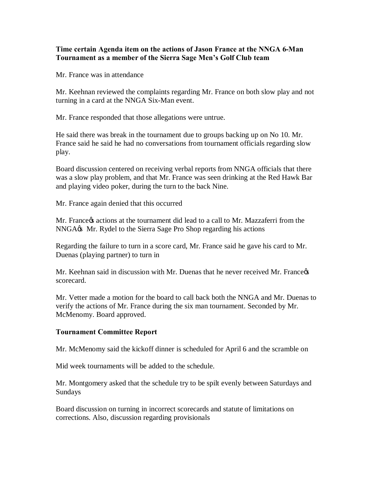## **Time certain Agenda item on the actions of Jason France at the NNGA 6-Man Tournament as a member of the Sierra Sage Men's Golf Club team**

Mr. France was in attendance

Mr. Keehnan reviewed the complaints regarding Mr. France on both slow play and not turning in a card at the NNGA Six-Man event.

Mr. France responded that those allegations were untrue.

He said there was break in the tournament due to groups backing up on No 10. Mr. France said he said he had no conversations from tournament officials regarding slow play.

Board discussion centered on receiving verbal reports from NNGA officials that there was a slow play problem, and that Mr. France was seen drinking at the Red Hawk Bar and playing video poker, during the turn to the back Nine.

Mr. France again denied that this occurred

Mr. France ts actions at the tournament did lead to a call to Mr. Mazzaferri from the NNGA $\&$  Mr. Rydel to the Sierra Sage Pro Shop regarding his actions

Regarding the failure to turn in a score card, Mr. France said he gave his card to Mr. Duenas (playing partner) to turn in

Mr. Keehnan said in discussion with Mr. Duenas that he never received Mr. France's scorecard.

Mr. Vetter made a motion for the board to call back both the NNGA and Mr. Duenas to verify the actions of Mr. France during the six man tournament. Seconded by Mr. McMenomy. Board approved.

## **Tournament Committee Report**

Mr. McMenomy said the kickoff dinner is scheduled for April 6 and the scramble on

Mid week tournaments will be added to the schedule.

Mr. Montgomery asked that the schedule try to be spilt evenly between Saturdays and Sundays

Board discussion on turning in incorrect scorecards and statute of limitations on corrections. Also, discussion regarding provisionals